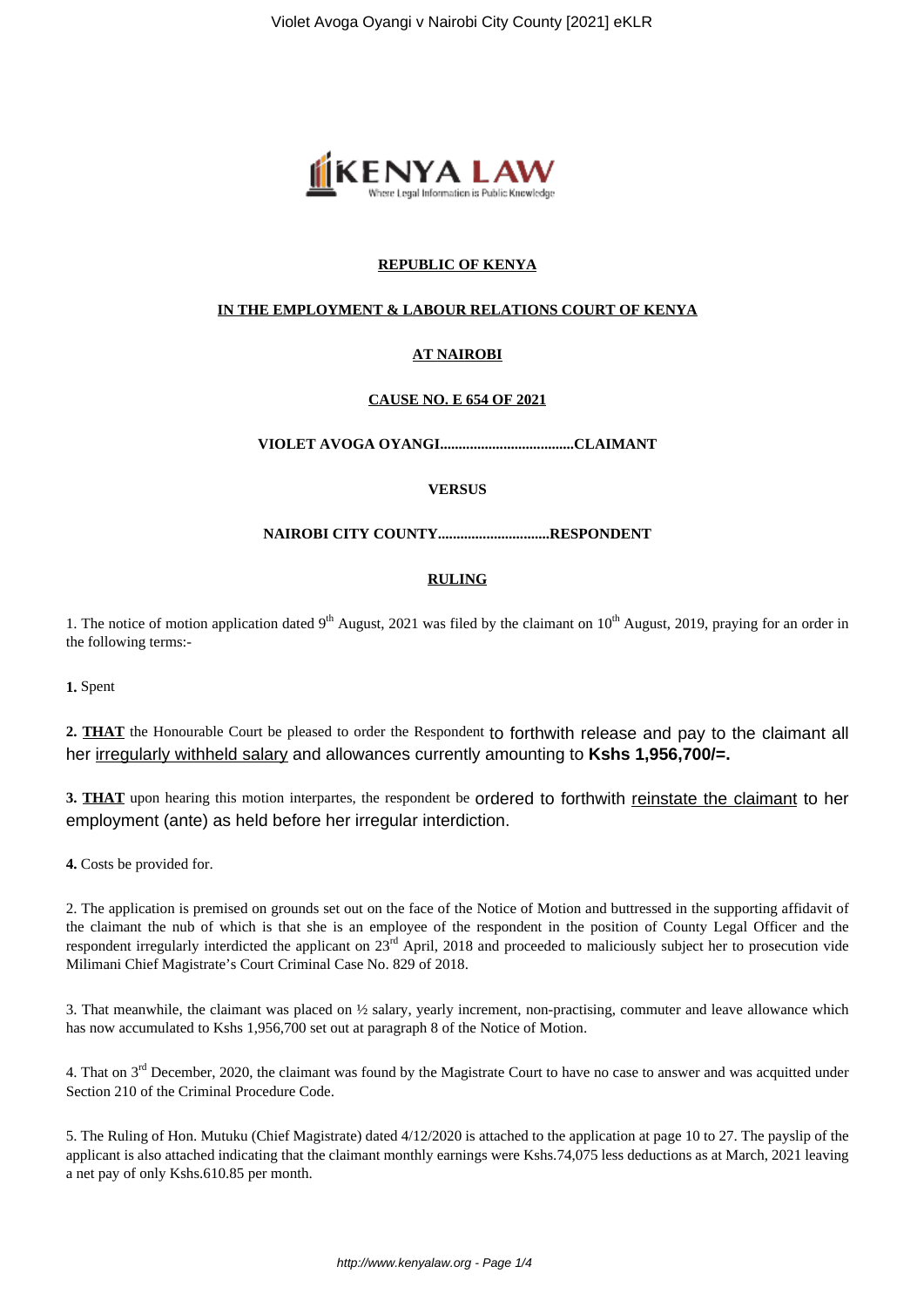

# **REPUBLIC OF KENYA**

## **IN THE EMPLOYMENT & LABOUR RELATIONS COURT OF KENYA**

## **AT NAIROBI**

### **CAUSE NO. E 654 OF 2021**

**VIOLET AVOGA OYANGI....................................CLAIMANT**

## **VERSUS**

**NAIROBI CITY COUNTY..............................RESPONDENT**

### **RULING**

1. The notice of motion application dated  $9<sup>th</sup>$  August, 2021 was filed by the claimant on  $10<sup>th</sup>$  August, 2019, praying for an order in the following terms:-

**1.** Spent

**2. THAT** the Honourable Court be pleased to order the Respondent to forthwith release and pay to the claimant all her irregularly withheld salary and allowances currently amounting to **Kshs 1,956,700/=.**

3. THAT upon hearing this motion interpartes, the respondent be ordered to forthwith reinstate the claimant to her employment (ante) as held before her irregular interdiction.

**4.** Costs be provided for.

2. The application is premised on grounds set out on the face of the Notice of Motion and buttressed in the supporting affidavit of the claimant the nub of which is that she is an employee of the respondent in the position of County Legal Officer and the respondent irregularly interdicted the applicant on 23rd April, 2018 and proceeded to maliciously subject her to prosecution vide Milimani Chief Magistrate's Court Criminal Case No. 829 of 2018.

3. That meanwhile, the claimant was placed on ½ salary, yearly increment, non-practising, commuter and leave allowance which has now accumulated to Kshs 1,956,700 set out at paragraph 8 of the Notice of Motion.

4. That on  $3<sup>rd</sup>$  December, 2020, the claimant was found by the Magistrate Court to have no case to answer and was acquitted under Section 210 of the Criminal Procedure Code.

5. The Ruling of Hon. Mutuku (Chief Magistrate) dated 4/12/2020 is attached to the application at page 10 to 27. The payslip of the applicant is also attached indicating that the claimant monthly earnings were Kshs.74,075 less deductions as at March, 2021 leaving a net pay of only Kshs.610.85 per month.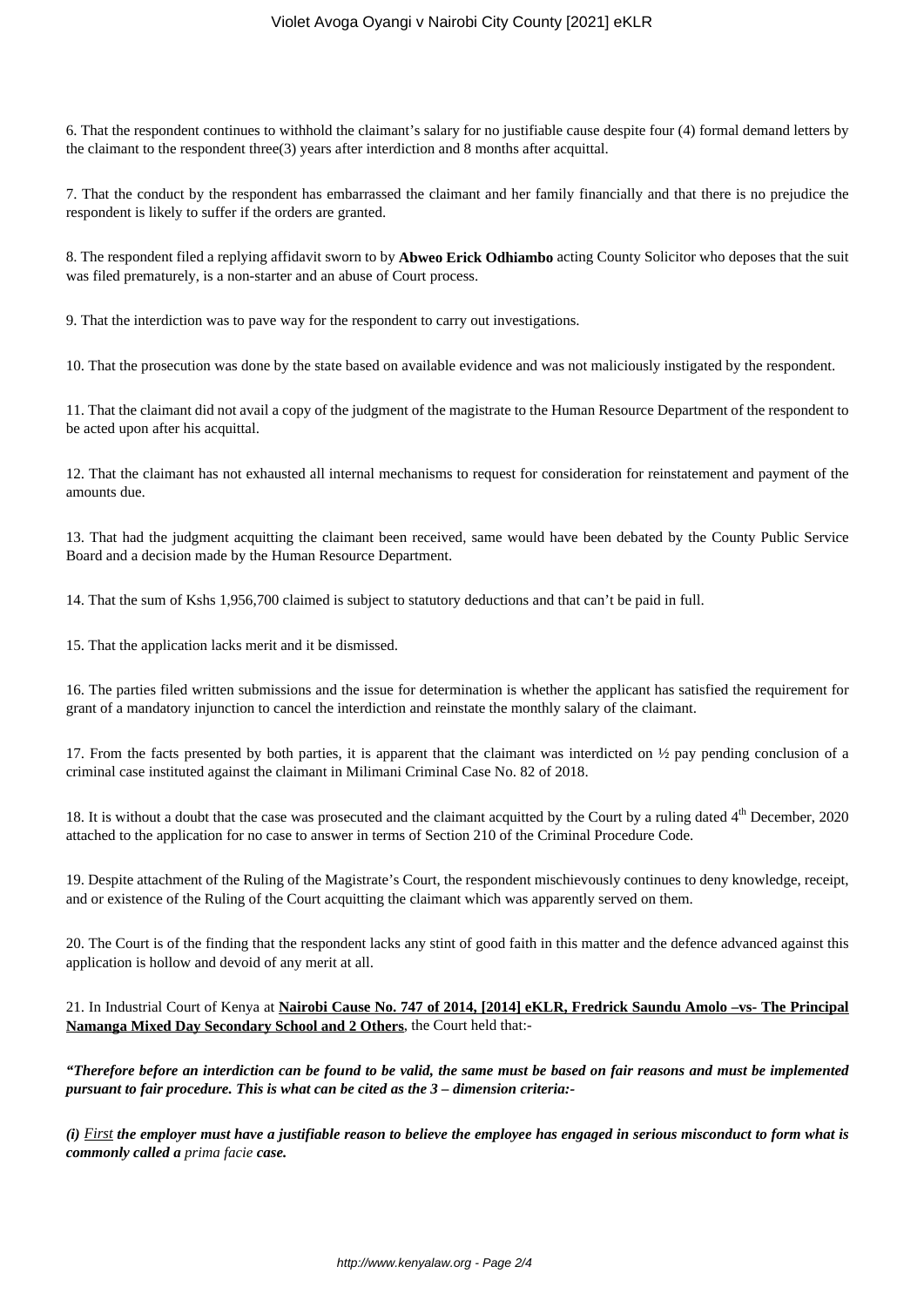6. That the respondent continues to withhold the claimant's salary for no justifiable cause despite four (4) formal demand letters by the claimant to the respondent three(3) years after interdiction and 8 months after acquittal.

7. That the conduct by the respondent has embarrassed the claimant and her family financially and that there is no prejudice the respondent is likely to suffer if the orders are granted.

8. The respondent filed a replying affidavit sworn to by **Abweo Erick Odhiambo** acting County Solicitor who deposes that the suit was filed prematurely, is a non-starter and an abuse of Court process.

9. That the interdiction was to pave way for the respondent to carry out investigations.

10. That the prosecution was done by the state based on available evidence and was not maliciously instigated by the respondent.

11. That the claimant did not avail a copy of the judgment of the magistrate to the Human Resource Department of the respondent to be acted upon after his acquittal.

12. That the claimant has not exhausted all internal mechanisms to request for consideration for reinstatement and payment of the amounts due.

13. That had the judgment acquitting the claimant been received, same would have been debated by the County Public Service Board and a decision made by the Human Resource Department.

14. That the sum of Kshs 1,956,700 claimed is subject to statutory deductions and that can't be paid in full.

15. That the application lacks merit and it be dismissed.

16. The parties filed written submissions and the issue for determination is whether the applicant has satisfied the requirement for grant of a mandatory injunction to cancel the interdiction and reinstate the monthly salary of the claimant.

17. From the facts presented by both parties, it is apparent that the claimant was interdicted on ½ pay pending conclusion of a criminal case instituted against the claimant in Milimani Criminal Case No. 82 of 2018.

18. It is without a doubt that the case was prosecuted and the claimant acquitted by the Court by a ruling dated 4<sup>th</sup> December, 2020 attached to the application for no case to answer in terms of Section 210 of the Criminal Procedure Code.

19. Despite attachment of the Ruling of the Magistrate's Court, the respondent mischievously continues to deny knowledge, receipt, and or existence of the Ruling of the Court acquitting the claimant which was apparently served on them.

20. The Court is of the finding that the respondent lacks any stint of good faith in this matter and the defence advanced against this application is hollow and devoid of any merit at all.

21. In Industrial Court of Kenya at **Nairobi Cause No. 747 of 2014, [2014] eKLR, Fredrick Saundu Amolo -vs- The Principal Namanga Mixed Day Secondary School and 2 Others**, the Court held that:-

*"Therefore before an interdiction can be found to be valid, the same must be based on fair reasons and must be implemented pursuant to fair procedure. This is what can be cited as the 3 – dimension criteria:-*

*(i) First the employer must have a justifiable reason to believe the employee has engaged in serious misconduct to form what is commonly called a prima facie case.*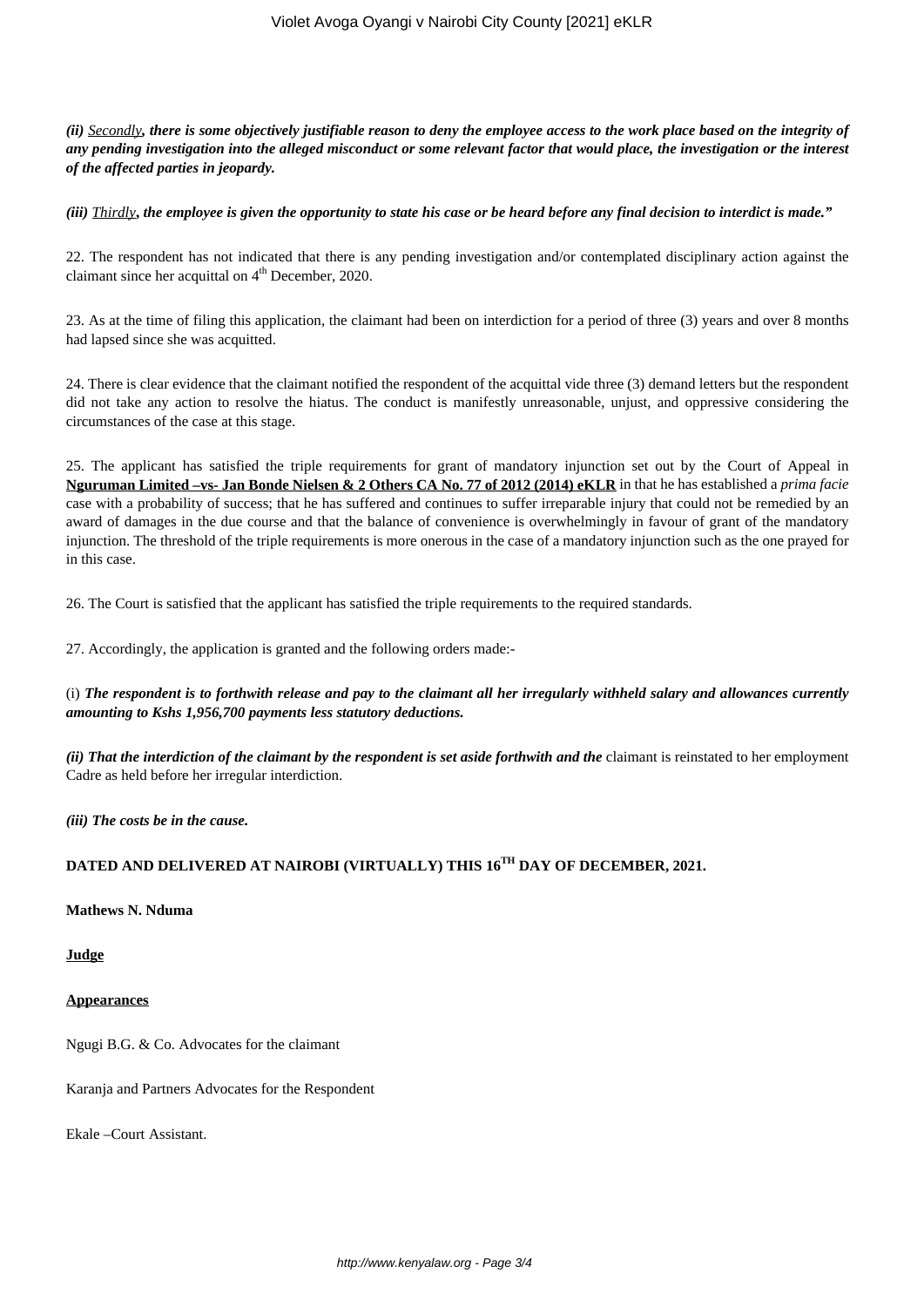*(ii) Secondly, there is some objectively justifiable reason to deny the employee access to the work place based on the integrity of any pending investigation into the alleged misconduct or some relevant factor that would place, the investigation or the interest of the affected parties in jeopardy.*

*(iii) Thirdly***,** *the employee is given the opportunity to state his case or be heard before any final decision to interdict is made."*

22. The respondent has not indicated that there is any pending investigation and/or contemplated disciplinary action against the claimant since her acquittal on  $4<sup>th</sup>$  December, 2020.

23. As at the time of filing this application, the claimant had been on interdiction for a period of three (3) years and over 8 months had lapsed since she was acquitted.

24. There is clear evidence that the claimant notified the respondent of the acquittal vide three (3) demand letters but the respondent did not take any action to resolve the hiatus. The conduct is manifestly unreasonable, unjust, and oppressive considering the circumstances of the case at this stage.

25. The applicant has satisfied the triple requirements for grant of mandatory injunction set out by the Court of Appeal in **Nguruman Limited –vs- Jan Bonde Nielsen & 2 Others CA No. 77 of 2012 (2014) eKLR** in that he has established a *prima facie* case with a probability of success; that he has suffered and continues to suffer irreparable injury that could not be remedied by an award of damages in the due course and that the balance of convenience is overwhelmingly in favour of grant of the mandatory injunction. The threshold of the triple requirements is more onerous in the case of a mandatory injunction such as the one prayed for in this case.

26. The Court is satisfied that the applicant has satisfied the triple requirements to the required standards.

27. Accordingly, the application is granted and the following orders made:-

(i) *The respondent is to forthwith release and pay to the claimant all her irregularly withheld salary and allowances currently amounting to Kshs 1,956,700 payments less statutory deductions.*

*(ii) That the interdiction of the claimant by the respondent is set aside forthwith and the claimant is reinstated to her employment* Cadre as held before her irregular interdiction.

*(iii) The costs be in the cause.*

# **DATED AND DELIVERED AT NAIROBI (VIRTUALLY) THIS 16TH DAY OF DECEMBER, 2021.**

#### **Mathews N. Nduma**

#### **Judge**

#### **Appearances**

Ngugi B.G. & Co. Advocates for the claimant

Karanja and Partners Advocates for the Respondent

Ekale –Court Assistant.